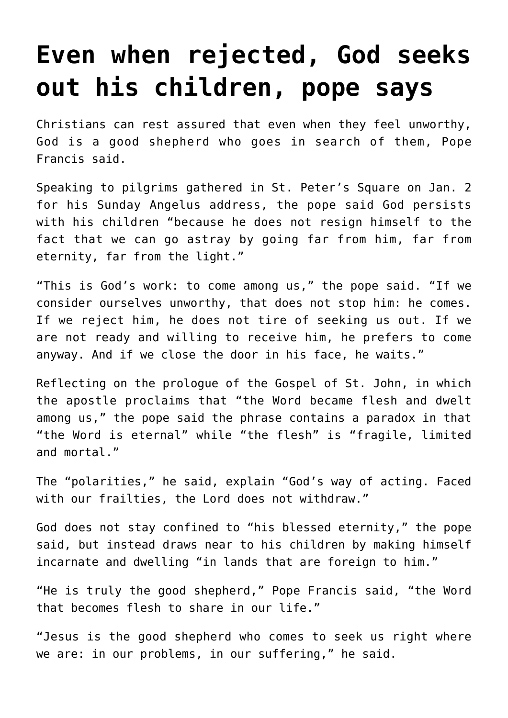## **[Even when rejected, God seeks](https://www.osvnews.com/2022/01/03/even-when-rejected-god-seeks-out-his-children-pope-says/) [out his children, pope says](https://www.osvnews.com/2022/01/03/even-when-rejected-god-seeks-out-his-children-pope-says/)**

Christians can rest assured that even when they feel unworthy, God is a good shepherd who goes in search of them, Pope Francis said.

Speaking to pilgrims gathered in St. Peter's Square on Jan. 2 for his Sunday Angelus address, the pope said God persists with his children "because he does not resign himself to the fact that we can go astray by going far from him, far from eternity, far from the light."

"This is God's work: to come among us," the pope said. "If we consider ourselves unworthy, that does not stop him: he comes. If we reject him, he does not tire of seeking us out. If we are not ready and willing to receive him, he prefers to come anyway. And if we close the door in his face, he waits."

Reflecting on the prologue of the Gospel of St. John, in which the apostle proclaims that "the Word became flesh and dwelt among us," the pope said the phrase contains a paradox in that "the Word is eternal" while "the flesh" is "fragile, limited and mortal."

The "polarities," he said, explain "God's way of acting. Faced with our frailties, the Lord does not withdraw."

God does not stay confined to "his blessed eternity," the pope said, but instead draws near to his children by making himself incarnate and dwelling "in lands that are foreign to him."

"He is truly the good shepherd," Pope Francis said, "the Word that becomes flesh to share in our life."

"Jesus is the good shepherd who comes to seek us right where we are: in our problems, in our suffering," he said.